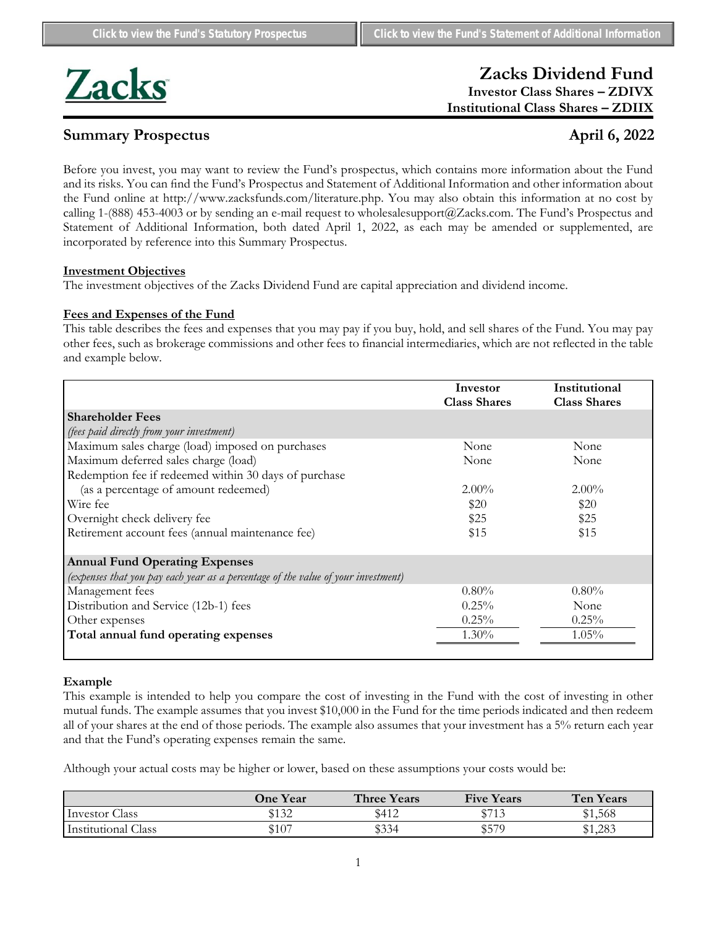

# **Zacks Dividend Fund Investor Class Shares – ZDIVX Institutional Class Shares – ZDIIX**

# **Summary Prospectus April 6, 2022**

Before you invest, you may want to review the Fund's prospectus, which contains more information about the Fund and its risks. You can find the Fund's Prospectus and Statement of Additional Information and other information about the Fund online at http://www.zacksfunds.com/literature.php. You may also obtain this information at no cost by calling 1-(888) 453-4003 or by sending an e-mail request to wholesalesupport@Zacks.com. The Fund's Prospectus and Statement of Additional Information, both dated April 1, 2022, as each may be amended or supplemented, are incorporated by reference into this Summary Prospectus.

### **Investment Objectives**

The investment objectives of the Zacks Dividend Fund are capital appreciation and dividend income.

# **Fees and Expenses of the Fund**

This table describes the fees and expenses that you may pay if you buy, hold, and sell shares of the Fund. You may pay other fees, such as brokerage commissions and other fees to financial intermediaries, which are not reflected in the table and example below.

|                                                                                   | Investor<br><b>Class Shares</b> | Institutional<br><b>Class Shares</b> |
|-----------------------------------------------------------------------------------|---------------------------------|--------------------------------------|
|                                                                                   |                                 |                                      |
| <b>Shareholder Fees</b>                                                           |                                 |                                      |
| (fees paid directly from your investment)                                         |                                 |                                      |
| Maximum sales charge (load) imposed on purchases                                  | None                            | None                                 |
| Maximum deferred sales charge (load)                                              | None                            | None                                 |
| Redemption fee if redeemed within 30 days of purchase                             |                                 |                                      |
| (as a percentage of amount redeemed)                                              | $2.00\%$                        | $2.00\%$                             |
| Wire fee                                                                          | \$20                            | \$20                                 |
| Overnight check delivery fee                                                      | \$25                            | \$25                                 |
| Retirement account fees (annual maintenance fee)                                  | \$15                            | \$15                                 |
| <b>Annual Fund Operating Expenses</b>                                             |                                 |                                      |
| (expenses that you pay each year as a percentage of the value of your investment) |                                 |                                      |
| Management fees                                                                   | $0.80\%$                        | $0.80\%$                             |
| Distribution and Service (12b-1) fees                                             | $0.25\%$                        | None                                 |
| Other expenses                                                                    | 0.25%                           | 0.25%                                |
| Total annual fund operating expenses                                              | 1.30%                           | $1.05\%$                             |
|                                                                                   |                                 |                                      |

### **Example**

This example is intended to help you compare the cost of investing in the Fund with the cost of investing in other mutual funds. The example assumes that you invest \$10,000 in the Fund for the time periods indicated and then redeem all of your shares at the end of those periods. The example also assumes that your investment has a 5% return each year and that the Fund's operating expenses remain the same.

Although your actual costs may be higher or lower, based on these assumptions your costs would be:

|                        | <b>One Year</b> | <b>Three Years</b> | <b>Five Years</b>                     | <b>Ten Years</b> |
|------------------------|-----------------|--------------------|---------------------------------------|------------------|
| Investor (<br>Class    | \$132           | \$412              | $d$ $\overline{7}$ $1$ $\overline{2}$ | ሮ 1<br>\$1,568   |
| Institutional<br>Class | \$107           | ተሳሳ<br>\$334       | <b>¢570</b><br>ا ب                    | \$1,283<br>ተ     |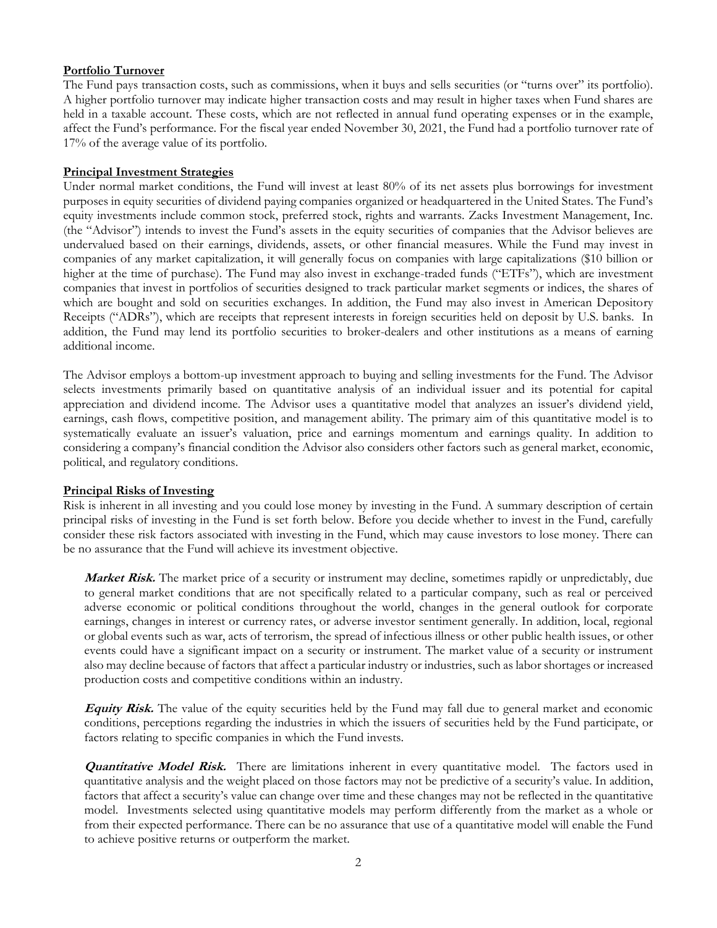# **Portfolio Turnover**

The Fund pays transaction costs, such as commissions, when it buys and sells securities (or "turns over" its portfolio). A higher portfolio turnover may indicate higher transaction costs and may result in higher taxes when Fund shares are held in a taxable account. These costs, which are not reflected in annual fund operating expenses or in the example, affect the Fund's performance. For the fiscal year ended November 30, 2021, the Fund had a portfolio turnover rate of 17% of the average value of its portfolio.

# **Principal Investment Strategies**

Under normal market conditions, the Fund will invest at least 80% of its net assets plus borrowings for investment purposes in equity securities of dividend paying companies organized or headquartered in the United States. The Fund's equity investments include common stock, preferred stock, rights and warrants. Zacks Investment Management, Inc. (the "Advisor") intends to invest the Fund's assets in the equity securities of companies that the Advisor believes are undervalued based on their earnings, dividends, assets, or other financial measures. While the Fund may invest in companies of any market capitalization, it will generally focus on companies with large capitalizations (\$10 billion or higher at the time of purchase). The Fund may also invest in exchange-traded funds ("ETFs"), which are investment companies that invest in portfolios of securities designed to track particular market segments or indices, the shares of which are bought and sold on securities exchanges. In addition, the Fund may also invest in American Depository Receipts ("ADRs"), which are receipts that represent interests in foreign securities held on deposit by U.S. banks. In addition, the Fund may lend its portfolio securities to broker-dealers and other institutions as a means of earning additional income.

The Advisor employs a bottom-up investment approach to buying and selling investments for the Fund. The Advisor selects investments primarily based on quantitative analysis of an individual issuer and its potential for capital appreciation and dividend income. The Advisor uses a quantitative model that analyzes an issuer's dividend yield, earnings, cash flows, competitive position, and management ability. The primary aim of this quantitative model is to systematically evaluate an issuer's valuation, price and earnings momentum and earnings quality. In addition to considering a company's financial condition the Advisor also considers other factors such as general market, economic, political, and regulatory conditions.

### **Principal Risks of Investing**

Risk is inherent in all investing and you could lose money by investing in the Fund. A summary description of certain principal risks of investing in the Fund is set forth below. Before you decide whether to invest in the Fund, carefully consider these risk factors associated with investing in the Fund, which may cause investors to lose money. There can be no assurance that the Fund will achieve its investment objective.

**Market Risk.** The market price of a security or instrument may decline, sometimes rapidly or unpredictably, due to general market conditions that are not specifically related to a particular company, such as real or perceived adverse economic or political conditions throughout the world, changes in the general outlook for corporate earnings, changes in interest or currency rates, or adverse investor sentiment generally. In addition, local, regional or global events such as war, acts of terrorism, the spread of infectious illness or other public health issues, or other events could have a significant impact on a security or instrument. The market value of a security or instrument also may decline because of factors that affect a particular industry or industries, such as labor shortages or increased production costs and competitive conditions within an industry.

**Equity Risk.** The value of the equity securities held by the Fund may fall due to general market and economic conditions, perceptions regarding the industries in which the issuers of securities held by the Fund participate, or factors relating to specific companies in which the Fund invests.

**Quantitative Model Risk.** There are limitations inherent in every quantitative model. The factors used in quantitative analysis and the weight placed on those factors may not be predictive of a security's value. In addition, factors that affect a security's value can change over time and these changes may not be reflected in the quantitative model. Investments selected using quantitative models may perform differently from the market as a whole or from their expected performance. There can be no assurance that use of a quantitative model will enable the Fund to achieve positive returns or outperform the market.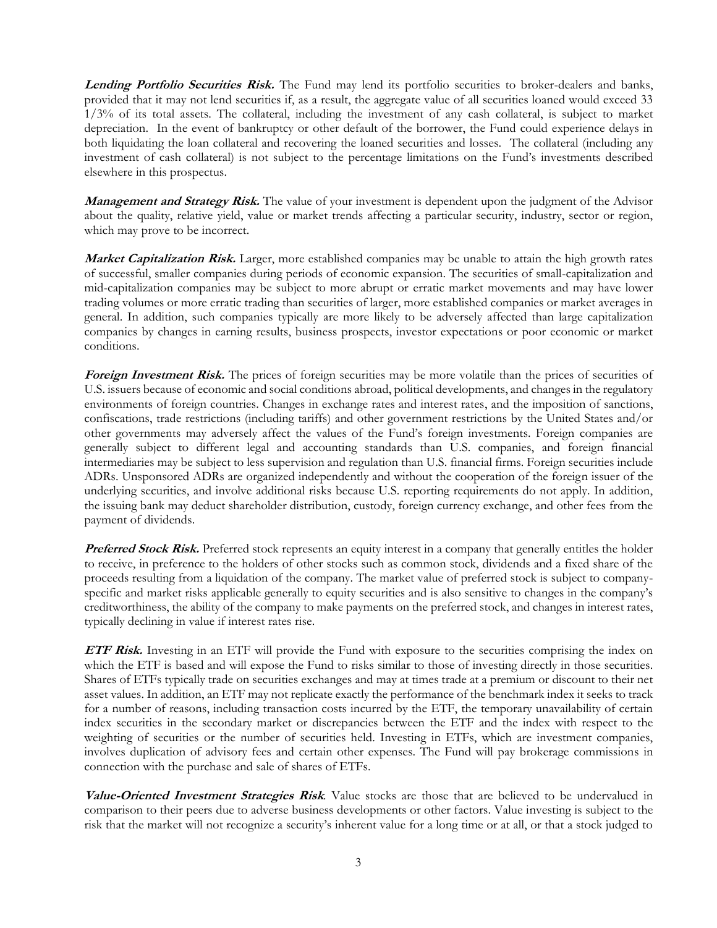Lending Portfolio Securities Risk. The Fund may lend its portfolio securities to broker-dealers and banks, provided that it may not lend securities if, as a result, the aggregate value of all securities loaned would exceed 33 1/3% of its total assets. The collateral, including the investment of any cash collateral, is subject to market depreciation. In the event of bankruptcy or other default of the borrower, the Fund could experience delays in both liquidating the loan collateral and recovering the loaned securities and losses. The collateral (including any investment of cash collateral) is not subject to the percentage limitations on the Fund's investments described elsewhere in this prospectus.

**Management and Strategy Risk.** The value of your investment is dependent upon the judgment of the Advisor about the quality, relative yield, value or market trends affecting a particular security, industry, sector or region, which may prove to be incorrect.

**Market Capitalization Risk.** Larger, more established companies may be unable to attain the high growth rates of successful, smaller companies during periods of economic expansion. The securities of small-capitalization and mid-capitalization companies may be subject to more abrupt or erratic market movements and may have lower trading volumes or more erratic trading than securities of larger, more established companies or market averages in general. In addition, such companies typically are more likely to be adversely affected than large capitalization companies by changes in earning results, business prospects, investor expectations or poor economic or market conditions.

**Foreign Investment Risk.** The prices of foreign securities may be more volatile than the prices of securities of U.S. issuers because of economic and social conditions abroad, political developments, and changes in the regulatory environments of foreign countries. Changes in exchange rates and interest rates, and the imposition of sanctions, confiscations, trade restrictions (including tariffs) and other government restrictions by the United States and/or other governments may adversely affect the values of the Fund's foreign investments. Foreign companies are generally subject to different legal and accounting standards than U.S. companies, and foreign financial intermediaries may be subject to less supervision and regulation than U.S. financial firms. Foreign securities include ADRs. Unsponsored ADRs are organized independently and without the cooperation of the foreign issuer of the underlying securities, and involve additional risks because U.S. reporting requirements do not apply. In addition, the issuing bank may deduct shareholder distribution, custody, foreign currency exchange, and other fees from the payment of dividends.

**Preferred Stock Risk.** Preferred stock represents an equity interest in a company that generally entitles the holder to receive, in preference to the holders of other stocks such as common stock, dividends and a fixed share of the proceeds resulting from a liquidation of the company. The market value of preferred stock is subject to companyspecific and market risks applicable generally to equity securities and is also sensitive to changes in the company's creditworthiness, the ability of the company to make payments on the preferred stock, and changes in interest rates, typically declining in value if interest rates rise.

**ETF Risk.** Investing in an ETF will provide the Fund with exposure to the securities comprising the index on which the ETF is based and will expose the Fund to risks similar to those of investing directly in those securities. Shares of ETFs typically trade on securities exchanges and may at times trade at a premium or discount to their net asset values. In addition, an ETF may not replicate exactly the performance of the benchmark index it seeks to track for a number of reasons, including transaction costs incurred by the ETF, the temporary unavailability of certain index securities in the secondary market or discrepancies between the ETF and the index with respect to the weighting of securities or the number of securities held. Investing in ETFs, which are investment companies, involves duplication of advisory fees and certain other expenses. The Fund will pay brokerage commissions in connection with the purchase and sale of shares of ETFs.

**Value-Oriented Investment Strategies Risk***.* Value stocks are those that are believed to be undervalued in comparison to their peers due to adverse business developments or other factors. Value investing is subject to the risk that the market will not recognize a security's inherent value for a long time or at all, or that a stock judged to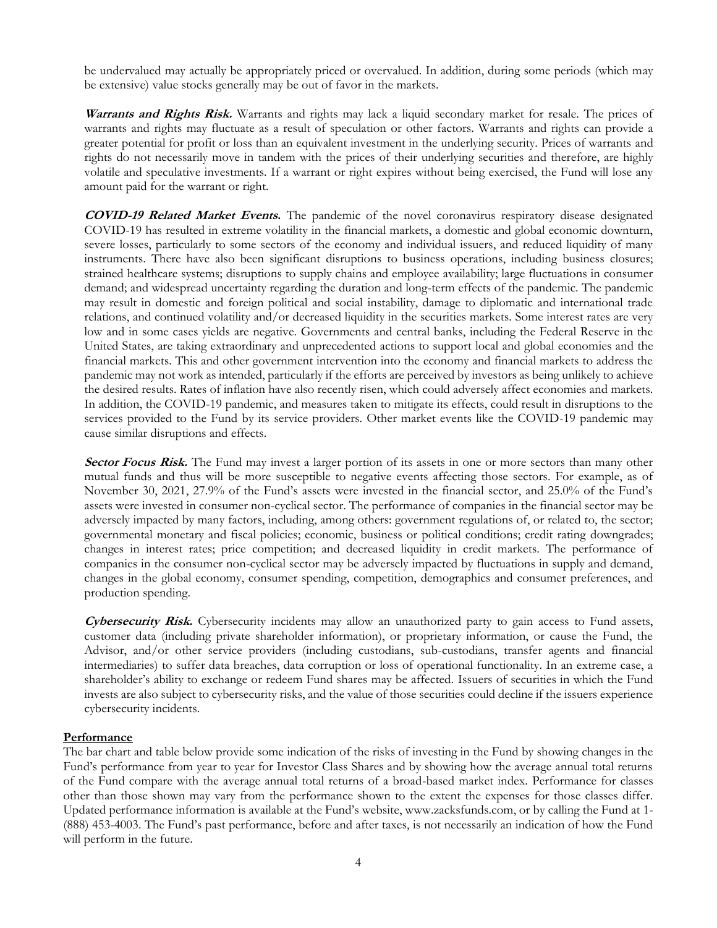be undervalued may actually be appropriately priced or overvalued. In addition, during some periods (which may be extensive) value stocks generally may be out of favor in the markets.

**Warrants and Rights Risk.** Warrants and rights may lack a liquid secondary market for resale. The prices of warrants and rights may fluctuate as a result of speculation or other factors. Warrants and rights can provide a greater potential for profit or loss than an equivalent investment in the underlying security. Prices of warrants and rights do not necessarily move in tandem with the prices of their underlying securities and therefore, are highly volatile and speculative investments. If a warrant or right expires without being exercised, the Fund will lose any amount paid for the warrant or right.

**COVID-19 Related Market Events.** The pandemic of the novel coronavirus respiratory disease designated COVID-19 has resulted in extreme volatility in the financial markets, a domestic and global economic downturn, severe losses, particularly to some sectors of the economy and individual issuers, and reduced liquidity of many instruments. There have also been significant disruptions to business operations, including business closures; strained healthcare systems; disruptions to supply chains and employee availability; large fluctuations in consumer demand; and widespread uncertainty regarding the duration and long-term effects of the pandemic. The pandemic may result in domestic and foreign political and social instability, damage to diplomatic and international trade relations, and continued volatility and/or decreased liquidity in the securities markets. Some interest rates are very low and in some cases yields are negative. Governments and central banks, including the Federal Reserve in the United States, are taking extraordinary and unprecedented actions to support local and global economies and the financial markets. This and other government intervention into the economy and financial markets to address the pandemic may not work as intended, particularly if the efforts are perceived by investors as being unlikely to achieve the desired results. Rates of inflation have also recently risen, which could adversely affect economies and markets. In addition, the COVID-19 pandemic, and measures taken to mitigate its effects, could result in disruptions to the services provided to the Fund by its service providers. Other market events like the COVID-19 pandemic may cause similar disruptions and effects.

**Sector Focus Risk.** The Fund may invest a larger portion of its assets in one or more sectors than many other mutual funds and thus will be more susceptible to negative events affecting those sectors. For example, as of November 30, 2021, 27.9% of the Fund's assets were invested in the financial sector, and 25.0% of the Fund's assets were invested in consumer non-cyclical sector. The performance of companies in the financial sector may be adversely impacted by many factors, including, among others: government regulations of, or related to, the sector; governmental monetary and fiscal policies; economic, business or political conditions; credit rating downgrades; changes in interest rates; price competition; and decreased liquidity in credit markets. The performance of companies in the consumer non-cyclical sector may be adversely impacted by fluctuations in supply and demand, changes in the global economy, consumer spending, competition, demographics and consumer preferences, and production spending.

**Cybersecurity Risk.** Cybersecurity incidents may allow an unauthorized party to gain access to Fund assets, customer data (including private shareholder information), or proprietary information, or cause the Fund, the Advisor, and/or other service providers (including custodians, sub-custodians, transfer agents and financial intermediaries) to suffer data breaches, data corruption or loss of operational functionality. In an extreme case, a shareholder's ability to exchange or redeem Fund shares may be affected. Issuers of securities in which the Fund invests are also subject to cybersecurity risks, and the value of those securities could decline if the issuers experience cybersecurity incidents.

### **Performance**

The bar chart and table below provide some indication of the risks of investing in the Fund by showing changes in the Fund's performance from year to year for Investor Class Shares and by showing how the average annual total returns of the Fund compare with the average annual total returns of a broad-based market index. Performance for classes other than those shown may vary from the performance shown to the extent the expenses for those classes differ. Updated performance information is available at the Fund's website, www.zacksfunds.com, or by calling the Fund at 1- (888) 453-4003. The Fund's past performance, before and after taxes, is not necessarily an indication of how the Fund will perform in the future.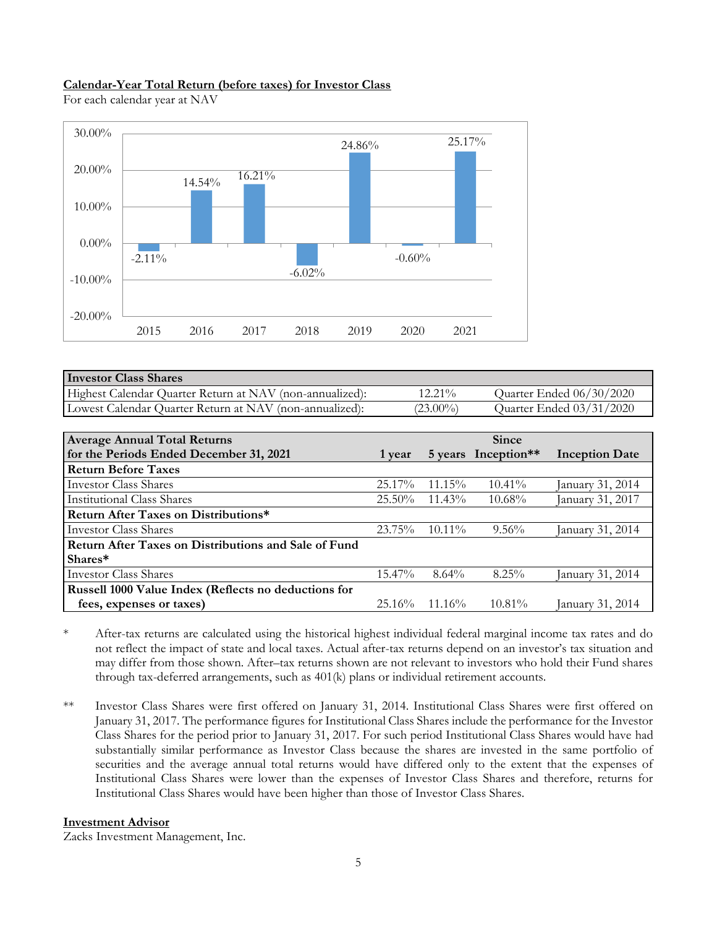## **Calendar-Year Total Return (before taxes) for Investor Class**

For each calendar year at NAV



| <b>Investor Class Shares</b>                             |             |                          |
|----------------------------------------------------------|-------------|--------------------------|
| Highest Calendar Quarter Return at NAV (non-annualized): | $12.21\%$   | Quarter Ended 06/30/2020 |
| Lowest Calendar Quarter Return at NAV (non-annualized):  | $(23.00\%)$ | Quarter Ended 03/31/2020 |

| <b>Average Annual Total Returns</b>                  |           |           | <b>Since</b>        |                       |
|------------------------------------------------------|-----------|-----------|---------------------|-----------------------|
| for the Periods Ended December 31, 2021              | 1 year    |           | 5 years Inception** | <b>Inception Date</b> |
| <b>Return Before Taxes</b>                           |           |           |                     |                       |
| <b>Investor Class Shares</b>                         | $25.17\%$ | $11.15\%$ | $10.41\%$           | anuary 31, 2014       |
| <b>Institutional Class Shares</b>                    | $25.50\%$ | $11.43\%$ | $10.68\%$           | anuary 31, 2017       |
| <b>Return After Taxes on Distributions*</b>          |           |           |                     |                       |
| <b>Investor Class Shares</b>                         | $23.75\%$ | $10.11\%$ | $9.56\%$            | January 31, 2014      |
| Return After Taxes on Distributions and Sale of Fund |           |           |                     |                       |
| Shares*                                              |           |           |                     |                       |
| <b>Investor Class Shares</b>                         | $15.47\%$ | $8.64\%$  | $8.25\%$            | January 31, 2014      |
| Russell 1000 Value Index (Reflects no deductions for |           |           |                     |                       |
| fees, expenses or taxes)                             | $25.16\%$ | $11.16\%$ | $10.81\%$           | January 31, 2014      |

\* After-tax returns are calculated using the historical highest individual federal marginal income tax rates and do not reflect the impact of state and local taxes. Actual after-tax returns depend on an investor's tax situation and may differ from those shown. After–tax returns shown are not relevant to investors who hold their Fund shares through tax-deferred arrangements, such as 401(k) plans or individual retirement accounts.

\*\* Investor Class Shares were first offered on January 31, 2014. Institutional Class Shares were first offered on January 31, 2017. The performance figures for Institutional Class Shares include the performance for the Investor Class Shares for the period prior to January 31, 2017. For such period Institutional Class Shares would have had substantially similar performance as Investor Class because the shares are invested in the same portfolio of securities and the average annual total returns would have differed only to the extent that the expenses of Institutional Class Shares were lower than the expenses of Investor Class Shares and therefore, returns for Institutional Class Shares would have been higher than those of Investor Class Shares.

### **Investment Advisor**

Zacks Investment Management, Inc.